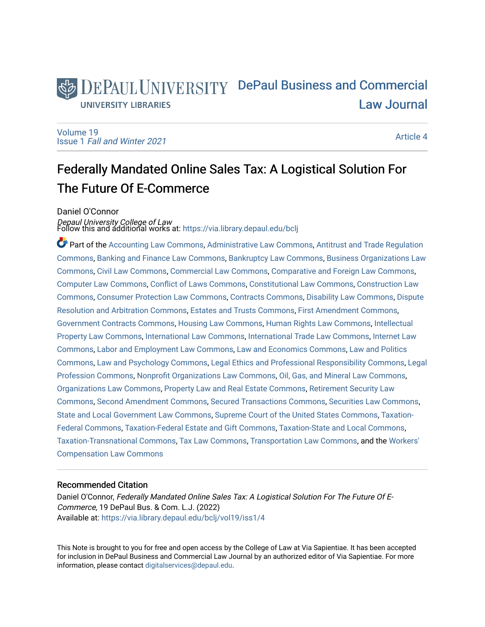# DEPAUL UNIVERSITY DePaul Business and Commercial [Law Journal](https://via.library.depaul.edu/bclj)  **UNIVERSITY LIBRARIES**

[Volume 19](https://via.library.depaul.edu/bclj/vol19) Issue 1 [Fall and Winter 2021](https://via.library.depaul.edu/bclj/vol19/iss1) 

[Article 4](https://via.library.depaul.edu/bclj/vol19/iss1/4) 

# Federally Mandated Online Sales Tax: A Logistical Solution For The Future Of E-Commerce

Daniel O'Connor

*Depaul University College of Law*<br>Follow this and additional works at: https://via.library.depaul.edu/bclj

Part of the [Accounting Law Commons](http://network.bepress.com/hgg/discipline/828?utm_source=via.library.depaul.edu%2Fbclj%2Fvol19%2Fiss1%2F4&utm_medium=PDF&utm_campaign=PDFCoverPages), [Administrative Law Commons](http://network.bepress.com/hgg/discipline/579?utm_source=via.library.depaul.edu%2Fbclj%2Fvol19%2Fiss1%2F4&utm_medium=PDF&utm_campaign=PDFCoverPages), [Antitrust and Trade Regulation](http://network.bepress.com/hgg/discipline/911?utm_source=via.library.depaul.edu%2Fbclj%2Fvol19%2Fiss1%2F4&utm_medium=PDF&utm_campaign=PDFCoverPages) [Commons](http://network.bepress.com/hgg/discipline/911?utm_source=via.library.depaul.edu%2Fbclj%2Fvol19%2Fiss1%2F4&utm_medium=PDF&utm_campaign=PDFCoverPages), [Banking and Finance Law Commons](http://network.bepress.com/hgg/discipline/833?utm_source=via.library.depaul.edu%2Fbclj%2Fvol19%2Fiss1%2F4&utm_medium=PDF&utm_campaign=PDFCoverPages), [Bankruptcy Law Commons](http://network.bepress.com/hgg/discipline/583?utm_source=via.library.depaul.edu%2Fbclj%2Fvol19%2Fiss1%2F4&utm_medium=PDF&utm_campaign=PDFCoverPages), [Business Organizations Law](http://network.bepress.com/hgg/discipline/900?utm_source=via.library.depaul.edu%2Fbclj%2Fvol19%2Fiss1%2F4&utm_medium=PDF&utm_campaign=PDFCoverPages)  [Commons](http://network.bepress.com/hgg/discipline/900?utm_source=via.library.depaul.edu%2Fbclj%2Fvol19%2Fiss1%2F4&utm_medium=PDF&utm_campaign=PDFCoverPages), [Civil Law Commons,](http://network.bepress.com/hgg/discipline/835?utm_source=via.library.depaul.edu%2Fbclj%2Fvol19%2Fiss1%2F4&utm_medium=PDF&utm_campaign=PDFCoverPages) [Commercial Law Commons](http://network.bepress.com/hgg/discipline/586?utm_source=via.library.depaul.edu%2Fbclj%2Fvol19%2Fiss1%2F4&utm_medium=PDF&utm_campaign=PDFCoverPages), [Comparative and Foreign Law Commons](http://network.bepress.com/hgg/discipline/836?utm_source=via.library.depaul.edu%2Fbclj%2Fvol19%2Fiss1%2F4&utm_medium=PDF&utm_campaign=PDFCoverPages), [Computer Law Commons](http://network.bepress.com/hgg/discipline/837?utm_source=via.library.depaul.edu%2Fbclj%2Fvol19%2Fiss1%2F4&utm_medium=PDF&utm_campaign=PDFCoverPages), [Conflict of Laws Commons](http://network.bepress.com/hgg/discipline/588?utm_source=via.library.depaul.edu%2Fbclj%2Fvol19%2Fiss1%2F4&utm_medium=PDF&utm_campaign=PDFCoverPages), [Constitutional Law Commons](http://network.bepress.com/hgg/discipline/589?utm_source=via.library.depaul.edu%2Fbclj%2Fvol19%2Fiss1%2F4&utm_medium=PDF&utm_campaign=PDFCoverPages), [Construction Law](http://network.bepress.com/hgg/discipline/590?utm_source=via.library.depaul.edu%2Fbclj%2Fvol19%2Fiss1%2F4&utm_medium=PDF&utm_campaign=PDFCoverPages)  [Commons](http://network.bepress.com/hgg/discipline/590?utm_source=via.library.depaul.edu%2Fbclj%2Fvol19%2Fiss1%2F4&utm_medium=PDF&utm_campaign=PDFCoverPages), [Consumer Protection Law Commons](http://network.bepress.com/hgg/discipline/838?utm_source=via.library.depaul.edu%2Fbclj%2Fvol19%2Fiss1%2F4&utm_medium=PDF&utm_campaign=PDFCoverPages), [Contracts Commons,](http://network.bepress.com/hgg/discipline/591?utm_source=via.library.depaul.edu%2Fbclj%2Fvol19%2Fiss1%2F4&utm_medium=PDF&utm_campaign=PDFCoverPages) [Disability Law Commons,](http://network.bepress.com/hgg/discipline/1074?utm_source=via.library.depaul.edu%2Fbclj%2Fvol19%2Fiss1%2F4&utm_medium=PDF&utm_campaign=PDFCoverPages) [Dispute](http://network.bepress.com/hgg/discipline/890?utm_source=via.library.depaul.edu%2Fbclj%2Fvol19%2Fiss1%2F4&utm_medium=PDF&utm_campaign=PDFCoverPages) [Resolution and Arbitration Commons](http://network.bepress.com/hgg/discipline/890?utm_source=via.library.depaul.edu%2Fbclj%2Fvol19%2Fiss1%2F4&utm_medium=PDF&utm_campaign=PDFCoverPages), [Estates and Trusts Commons,](http://network.bepress.com/hgg/discipline/906?utm_source=via.library.depaul.edu%2Fbclj%2Fvol19%2Fiss1%2F4&utm_medium=PDF&utm_campaign=PDFCoverPages) [First Amendment Commons,](http://network.bepress.com/hgg/discipline/1115?utm_source=via.library.depaul.edu%2Fbclj%2Fvol19%2Fiss1%2F4&utm_medium=PDF&utm_campaign=PDFCoverPages) [Government Contracts Commons,](http://network.bepress.com/hgg/discipline/845?utm_source=via.library.depaul.edu%2Fbclj%2Fvol19%2Fiss1%2F4&utm_medium=PDF&utm_campaign=PDFCoverPages) [Housing Law Commons,](http://network.bepress.com/hgg/discipline/846?utm_source=via.library.depaul.edu%2Fbclj%2Fvol19%2Fiss1%2F4&utm_medium=PDF&utm_campaign=PDFCoverPages) [Human Rights Law Commons](http://network.bepress.com/hgg/discipline/847?utm_source=via.library.depaul.edu%2Fbclj%2Fvol19%2Fiss1%2F4&utm_medium=PDF&utm_campaign=PDFCoverPages), [Intellectual](http://network.bepress.com/hgg/discipline/896?utm_source=via.library.depaul.edu%2Fbclj%2Fvol19%2Fiss1%2F4&utm_medium=PDF&utm_campaign=PDFCoverPages)  [Property Law Commons](http://network.bepress.com/hgg/discipline/896?utm_source=via.library.depaul.edu%2Fbclj%2Fvol19%2Fiss1%2F4&utm_medium=PDF&utm_campaign=PDFCoverPages), [International Law Commons](http://network.bepress.com/hgg/discipline/609?utm_source=via.library.depaul.edu%2Fbclj%2Fvol19%2Fiss1%2F4&utm_medium=PDF&utm_campaign=PDFCoverPages), [International Trade Law Commons](http://network.bepress.com/hgg/discipline/848?utm_source=via.library.depaul.edu%2Fbclj%2Fvol19%2Fiss1%2F4&utm_medium=PDF&utm_campaign=PDFCoverPages), [Internet Law](http://network.bepress.com/hgg/discipline/892?utm_source=via.library.depaul.edu%2Fbclj%2Fvol19%2Fiss1%2F4&utm_medium=PDF&utm_campaign=PDFCoverPages)  [Commons](http://network.bepress.com/hgg/discipline/892?utm_source=via.library.depaul.edu%2Fbclj%2Fvol19%2Fiss1%2F4&utm_medium=PDF&utm_campaign=PDFCoverPages), [Labor and Employment Law Commons,](http://network.bepress.com/hgg/discipline/909?utm_source=via.library.depaul.edu%2Fbclj%2Fvol19%2Fiss1%2F4&utm_medium=PDF&utm_campaign=PDFCoverPages) [Law and Economics Commons,](http://network.bepress.com/hgg/discipline/612?utm_source=via.library.depaul.edu%2Fbclj%2Fvol19%2Fiss1%2F4&utm_medium=PDF&utm_campaign=PDFCoverPages) [Law and Politics](http://network.bepress.com/hgg/discipline/867?utm_source=via.library.depaul.edu%2Fbclj%2Fvol19%2Fiss1%2F4&utm_medium=PDF&utm_campaign=PDFCoverPages) [Commons](http://network.bepress.com/hgg/discipline/867?utm_source=via.library.depaul.edu%2Fbclj%2Fvol19%2Fiss1%2F4&utm_medium=PDF&utm_campaign=PDFCoverPages), [Law and Psychology Commons](http://network.bepress.com/hgg/discipline/870?utm_source=via.library.depaul.edu%2Fbclj%2Fvol19%2Fiss1%2F4&utm_medium=PDF&utm_campaign=PDFCoverPages), [Legal Ethics and Professional Responsibility Commons,](http://network.bepress.com/hgg/discipline/895?utm_source=via.library.depaul.edu%2Fbclj%2Fvol19%2Fiss1%2F4&utm_medium=PDF&utm_campaign=PDFCoverPages) [Legal](http://network.bepress.com/hgg/discipline/1075?utm_source=via.library.depaul.edu%2Fbclj%2Fvol19%2Fiss1%2F4&utm_medium=PDF&utm_campaign=PDFCoverPages) [Profession Commons,](http://network.bepress.com/hgg/discipline/1075?utm_source=via.library.depaul.edu%2Fbclj%2Fvol19%2Fiss1%2F4&utm_medium=PDF&utm_campaign=PDFCoverPages) [Nonprofit Organizations Law Commons](http://network.bepress.com/hgg/discipline/1349?utm_source=via.library.depaul.edu%2Fbclj%2Fvol19%2Fiss1%2F4&utm_medium=PDF&utm_campaign=PDFCoverPages), [Oil, Gas, and Mineral Law Commons](http://network.bepress.com/hgg/discipline/864?utm_source=via.library.depaul.edu%2Fbclj%2Fvol19%2Fiss1%2F4&utm_medium=PDF&utm_campaign=PDFCoverPages), [Organizations Law Commons](http://network.bepress.com/hgg/discipline/865?utm_source=via.library.depaul.edu%2Fbclj%2Fvol19%2Fiss1%2F4&utm_medium=PDF&utm_campaign=PDFCoverPages), [Property Law and Real Estate Commons](http://network.bepress.com/hgg/discipline/897?utm_source=via.library.depaul.edu%2Fbclj%2Fvol19%2Fiss1%2F4&utm_medium=PDF&utm_campaign=PDFCoverPages), [Retirement Security Law](http://network.bepress.com/hgg/discipline/873?utm_source=via.library.depaul.edu%2Fbclj%2Fvol19%2Fiss1%2F4&utm_medium=PDF&utm_campaign=PDFCoverPages) [Commons](http://network.bepress.com/hgg/discipline/873?utm_source=via.library.depaul.edu%2Fbclj%2Fvol19%2Fiss1%2F4&utm_medium=PDF&utm_campaign=PDFCoverPages), [Second Amendment Commons,](http://network.bepress.com/hgg/discipline/1119?utm_source=via.library.depaul.edu%2Fbclj%2Fvol19%2Fiss1%2F4&utm_medium=PDF&utm_campaign=PDFCoverPages) [Secured Transactions Commons,](http://network.bepress.com/hgg/discipline/876?utm_source=via.library.depaul.edu%2Fbclj%2Fvol19%2Fiss1%2F4&utm_medium=PDF&utm_campaign=PDFCoverPages) [Securities Law Commons,](http://network.bepress.com/hgg/discipline/619?utm_source=via.library.depaul.edu%2Fbclj%2Fvol19%2Fiss1%2F4&utm_medium=PDF&utm_campaign=PDFCoverPages) [State and Local Government Law Commons](http://network.bepress.com/hgg/discipline/879?utm_source=via.library.depaul.edu%2Fbclj%2Fvol19%2Fiss1%2F4&utm_medium=PDF&utm_campaign=PDFCoverPages), [Supreme Court of the United States Commons](http://network.bepress.com/hgg/discipline/1350?utm_source=via.library.depaul.edu%2Fbclj%2Fvol19%2Fiss1%2F4&utm_medium=PDF&utm_campaign=PDFCoverPages), [Taxation-](http://network.bepress.com/hgg/discipline/881?utm_source=via.library.depaul.edu%2Fbclj%2Fvol19%2Fiss1%2F4&utm_medium=PDF&utm_campaign=PDFCoverPages)[Federal Commons](http://network.bepress.com/hgg/discipline/881?utm_source=via.library.depaul.edu%2Fbclj%2Fvol19%2Fiss1%2F4&utm_medium=PDF&utm_campaign=PDFCoverPages), [Taxation-Federal Estate and Gift Commons](http://network.bepress.com/hgg/discipline/880?utm_source=via.library.depaul.edu%2Fbclj%2Fvol19%2Fiss1%2F4&utm_medium=PDF&utm_campaign=PDFCoverPages), [Taxation-State and Local Commons,](http://network.bepress.com/hgg/discipline/882?utm_source=via.library.depaul.edu%2Fbclj%2Fvol19%2Fiss1%2F4&utm_medium=PDF&utm_campaign=PDFCoverPages) [Taxation-Transnational Commons](http://network.bepress.com/hgg/discipline/883?utm_source=via.library.depaul.edu%2Fbclj%2Fvol19%2Fiss1%2F4&utm_medium=PDF&utm_campaign=PDFCoverPages), [Tax Law Commons,](http://network.bepress.com/hgg/discipline/898?utm_source=via.library.depaul.edu%2Fbclj%2Fvol19%2Fiss1%2F4&utm_medium=PDF&utm_campaign=PDFCoverPages) [Transportation Law Commons](http://network.bepress.com/hgg/discipline/885?utm_source=via.library.depaul.edu%2Fbclj%2Fvol19%2Fiss1%2F4&utm_medium=PDF&utm_campaign=PDFCoverPages), and the [Workers'](http://network.bepress.com/hgg/discipline/889?utm_source=via.library.depaul.edu%2Fbclj%2Fvol19%2Fiss1%2F4&utm_medium=PDF&utm_campaign=PDFCoverPages)  [Compensation Law Commons](http://network.bepress.com/hgg/discipline/889?utm_source=via.library.depaul.edu%2Fbclj%2Fvol19%2Fiss1%2F4&utm_medium=PDF&utm_campaign=PDFCoverPages)

# Recommended Citation

Daniel O'Connor, Federally Mandated Online Sales Tax: A Logistical Solution For The Future Of E-Commerce, 19 DePaul Bus. & Com. L.J. (2022) Available at: [https://via.library.depaul.edu/bclj/vol19/iss1/4](https://via.library.depaul.edu/bclj/vol19/iss1/4?utm_source=via.library.depaul.edu%2Fbclj%2Fvol19%2Fiss1%2F4&utm_medium=PDF&utm_campaign=PDFCoverPages) 

This Note is brought to you for free and open access by the College of Law at Via Sapientiae. It has been accepted for inclusion in DePaul Business and Commercial Law Journal by an authorized editor of Via Sapientiae. For more information, please contact [digitalservices@depaul.edu](mailto:digitalservices@depaul.edu).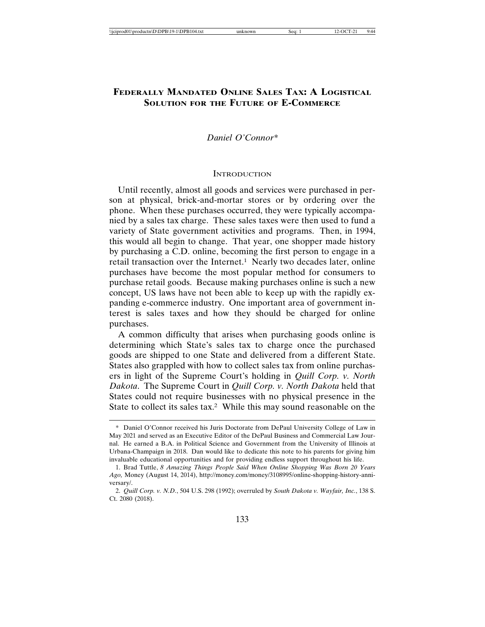# **FEDERALLY MANDATED ONLINE SALES TAX: A LOGISTICAL SOLUTION FOR THE FUTURE OF E-COMMERCE**

# *Daniel O'Connor\**

# **INTRODUCTION**

Until recently, almost all goods and services were purchased in person at physical, brick-and-mortar stores or by ordering over the phone. When these purchases occurred, they were typically accompanied by a sales tax charge. These sales taxes were then used to fund a variety of State government activities and programs. Then, in 1994, this would all begin to change. That year, one shopper made history by purchasing a C.D. online, becoming the first person to engage in a retail transaction over the Internet.<sup>1</sup> Nearly two decades later, online purchases have become the most popular method for consumers to purchase retail goods. Because making purchases online is such a new concept, US laws have not been able to keep up with the rapidly expanding e-commerce industry. One important area of government interest is sales taxes and how they should be charged for online purchases.

A common difficulty that arises when purchasing goods online is determining which State's sales tax to charge once the purchased goods are shipped to one State and delivered from a different State. States also grappled with how to collect sales tax from online purchasers in light of the Supreme Court's holding in *Quill Corp. v. North Dakota*. The Supreme Court in *Quill Corp. v. North Dakota* held that States could not require businesses with no physical presence in the State to collect its sales tax.2 While this may sound reasonable on the

<sup>\*</sup> Daniel O'Connor received his Juris Doctorate from DePaul University College of Law in May 2021 and served as an Executive Editor of the DePaul Business and Commercial Law Journal. He earned a B.A. in Political Science and Government from the University of Illinois at Urbana-Champaign in 2018. Dan would like to dedicate this note to his parents for giving him invaluable educational opportunities and for providing endless support throughout his life.

<sup>1.</sup> Brad Tuttle, *8 Amazing Things People Said When Online Shopping Was Born 20 Years Ago,* Money (August 14, 2014), http://money.com/money/3108995/online-shopping-history-anniversary/.

<sup>2.</sup> *Quill Corp. v. N.D.*, 504 U.S. 298 (1992); overruled by *South Dakota v. Wayfair, Inc.*, 138 S. Ct. 2080 (2018).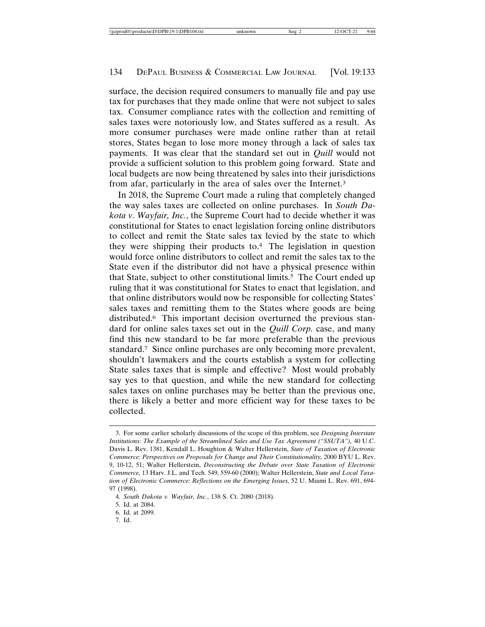surface, the decision required consumers to manually file and pay use tax for purchases that they made online that were not subject to sales tax. Consumer compliance rates with the collection and remitting of sales taxes were notoriously low, and States suffered as a result. As more consumer purchases were made online rather than at retail stores, States began to lose more money through a lack of sales tax payments. It was clear that the standard set out in *Quill* would not provide a sufficient solution to this problem going forward. State and local budgets are now being threatened by sales into their jurisdictions from afar, particularly in the area of sales over the Internet.3

In 2018, the Supreme Court made a ruling that completely changed the way sales taxes are collected on online purchases. In *South Dakota v. Wayfair, Inc.*, the Supreme Court had to decide whether it was constitutional for States to enact legislation forcing online distributors to collect and remit the State sales tax levied by the state to which they were shipping their products to.4 The legislation in question would force online distributors to collect and remit the sales tax to the State even if the distributor did not have a physical presence within that State, subject to other constitutional limits.5 The Court ended up ruling that it was constitutional for States to enact that legislation, and that online distributors would now be responsible for collecting States' sales taxes and remitting them to the States where goods are being distributed.6 This important decision overturned the previous standard for online sales taxes set out in the *Quill Corp.* case, and many find this new standard to be far more preferable than the previous standard.7 Since online purchases are only becoming more prevalent, shouldn't lawmakers and the courts establish a system for collecting State sales taxes that is simple and effective? Most would probably say yes to that question, and while the new standard for collecting sales taxes on online purchases may be better than the previous one, there is likely a better and more efficient way for these taxes to be collected.

7. Id.

<sup>3.</sup> For some earlier scholarly discussions of the scope of this problem, see *Designing Interstate Institutions: The Example of the Streamlined Sales and Use Tax Agreement ("SSUTA"),* 40 U.C. Davis L. Rev. 1381, Kendall L. Houghton & Walter Hellerstein, *State of Taxation of Electronic Commerce: Perspectives on Proposals for Change and Their Constitutionality,* 2000 BYU L. Rev. 9, 10-12, 51; Walter Hellerstein, *Deconstructing the Debate over State Taxation of Electronic Commerce,* 13 Harv. J.L. and Tech. 549, 559-60 (2000); Walter Hellerstein, *State and Local Taxation of Electronic Commerce: Reflections on the Emerging Issues,* 52 U. Miami L. Rev. 691, 694- 97 (1998).

<sup>4.</sup> *South Dakota v. Wayfair, Inc.*, 138 S. Ct. 2080 (2018).

<sup>5.</sup> Id. at 2084.

<sup>6.</sup> Id. at 2099.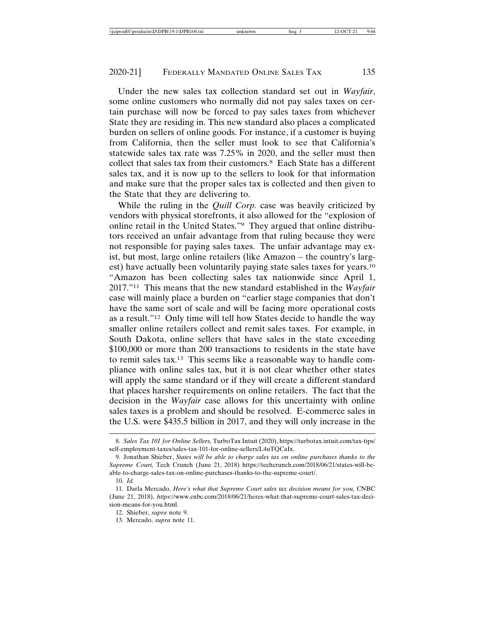Under the new sales tax collection standard set out in *Wayfair*, some online customers who normally did not pay sales taxes on certain purchase will now be forced to pay sales taxes from whichever State they are residing in. This new standard also places a complicated burden on sellers of online goods. For instance, if a customer is buying from California, then the seller must look to see that California's statewide sales tax rate was 7.25% in 2020, and the seller must then collect that sales tax from their customers.8 Each State has a different sales tax, and it is now up to the sellers to look for that information and make sure that the proper sales tax is collected and then given to the State that they are delivering to.

While the ruling in the *Quill Corp.* case was heavily criticized by vendors with physical storefronts, it also allowed for the "explosion of online retail in the United States."9 They argued that online distributors received an unfair advantage from that ruling because they were not responsible for paying sales taxes. The unfair advantage may exist, but most, large online retailers (like Amazon – the country's largest) have actually been voluntarily paying state sales taxes for years.10 "Amazon has been collecting sales tax nationwide since April 1, 2017."11 This means that the new standard established in the *Wayfair* case will mainly place a burden on "earlier stage companies that don't have the same sort of scale and will be facing more operational costs as a result."12 Only time will tell how States decide to handle the way smaller online retailers collect and remit sales taxes. For example, in South Dakota, online sellers that have sales in the state exceeding \$100,000 or more than 200 transactions to residents in the state have to remit sales tax.13 This seems like a reasonable way to handle compliance with online sales tax, but it is not clear whether other states will apply the same standard or if they will create a different standard that places harsher requirements on online retailers. The fact that the decision in the *Wayfair* case allows for this uncertainty with online sales taxes is a problem and should be resolved. E-commerce sales in the U.S. were \$435.5 billion in 2017, and they will only increase in the

<sup>8.</sup> *Sales Tax 101 for Online Sellers,* TurboTax Intuit (2020), https://turbotax.intuit.com/tax-tips/ self-employment-taxes/sales-tax-101-for-online-sellers/L4uTQCaIx.

<sup>9.</sup> Jonathan Shieber, *States will be able to charge sales tax on online purchases thanks to the Supreme Court,* Tech Crunch (June 21, 2018) https://techcrunch.com/2018/06/21/states-will-beable-to-charge-sales-tax-on-online-purchases-thanks-to-the-supreme-court/.

<sup>10.</sup> *Id.*

<sup>11.</sup> Darla Mercado, *Here's what that Supreme Court sales tax decision means for you,* CNBC (June 21, 2018), *https*://www.cnbc.com/2018/06/21/heres-what-that-supreme-court-sales-tax-decision-means-for-you.html.

<sup>12.</sup> Shieber, *supra* note 9.

<sup>13.</sup> Mercado, *supra* note 11.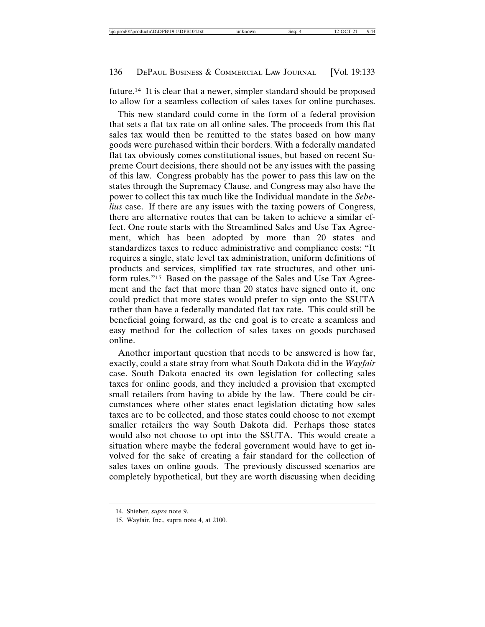future.14 It is clear that a newer, simpler standard should be proposed to allow for a seamless collection of sales taxes for online purchases.

This new standard could come in the form of a federal provision that sets a flat tax rate on all online sales. The proceeds from this flat sales tax would then be remitted to the states based on how many goods were purchased within their borders. With a federally mandated flat tax obviously comes constitutional issues, but based on recent Supreme Court decisions, there should not be any issues with the passing of this law. Congress probably has the power to pass this law on the states through the Supremacy Clause, and Congress may also have the power to collect this tax much like the Individual mandate in the *Sebelius* case. If there are any issues with the taxing powers of Congress, there are alternative routes that can be taken to achieve a similar effect. One route starts with the Streamlined Sales and Use Tax Agreement, which has been adopted by more than 20 states and standardizes taxes to reduce administrative and compliance costs: "It requires a single, state level tax administration, uniform definitions of products and services, simplified tax rate structures, and other uniform rules."15 Based on the passage of the Sales and Use Tax Agreement and the fact that more than 20 states have signed onto it, one could predict that more states would prefer to sign onto the SSUTA rather than have a federally mandated flat tax rate. This could still be beneficial going forward, as the end goal is to create a seamless and easy method for the collection of sales taxes on goods purchased online.

Another important question that needs to be answered is how far, exactly, could a state stray from what South Dakota did in the *Wayfair* case. South Dakota enacted its own legislation for collecting sales taxes for online goods, and they included a provision that exempted small retailers from having to abide by the law. There could be circumstances where other states enact legislation dictating how sales taxes are to be collected, and those states could choose to not exempt smaller retailers the way South Dakota did. Perhaps those states would also not choose to opt into the SSUTA. This would create a situation where maybe the federal government would have to get involved for the sake of creating a fair standard for the collection of sales taxes on online goods. The previously discussed scenarios are completely hypothetical, but they are worth discussing when deciding

<sup>14.</sup> Shieber, *supra* note 9.

<sup>15.</sup> Wayfair, Inc., supra note 4, at 2100.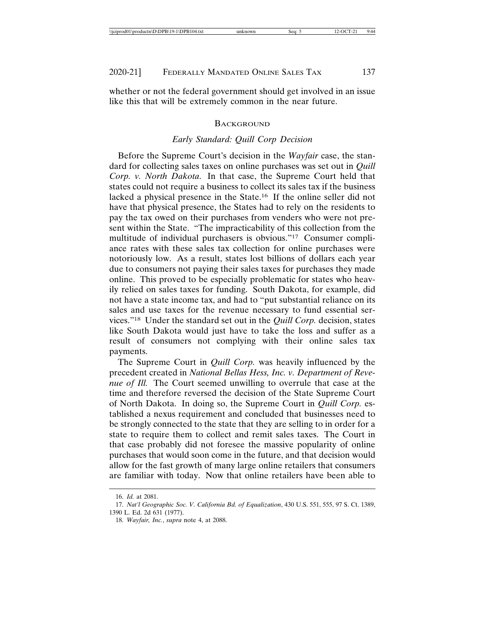whether or not the federal government should get involved in an issue like this that will be extremely common in the near future.

#### BACKGROUND

# *Early Standard: Quill Corp Decision*

Before the Supreme Court's decision in the *Wayfair* case, the standard for collecting sales taxes on online purchases was set out in *Quill Corp. v. North Dakota*. In that case, the Supreme Court held that states could not require a business to collect its sales tax if the business lacked a physical presence in the State.16 If the online seller did not have that physical presence, the States had to rely on the residents to pay the tax owed on their purchases from venders who were not present within the State. "The impracticability of this collection from the multitude of individual purchasers is obvious."17 Consumer compliance rates with these sales tax collection for online purchases were notoriously low. As a result, states lost billions of dollars each year due to consumers not paying their sales taxes for purchases they made online. This proved to be especially problematic for states who heavily relied on sales taxes for funding. South Dakota, for example, did not have a state income tax, and had to "put substantial reliance on its sales and use taxes for the revenue necessary to fund essential services."18 Under the standard set out in the *Quill Corp.* decision, states like South Dakota would just have to take the loss and suffer as a result of consumers not complying with their online sales tax payments.

The Supreme Court in *Quill Corp.* was heavily influenced by the precedent created in *National Bellas Hess, Inc. v. Department of Revenue of Ill.* The Court seemed unwilling to overrule that case at the time and therefore reversed the decision of the State Supreme Court of North Dakota. In doing so, the Supreme Court in *Quill Corp.* established a nexus requirement and concluded that businesses need to be strongly connected to the state that they are selling to in order for a state to require them to collect and remit sales taxes. The Court in that case probably did not foresee the massive popularity of online purchases that would soon come in the future, and that decision would allow for the fast growth of many large online retailers that consumers are familiar with today. Now that online retailers have been able to

<sup>16.</sup> *Id.* at 2081.

<sup>17.</sup> *Nat'l Geographic Soc. V. California Bd. of Equalization*, 430 U.S. 551, 555, 97 S. Ct. 1389, 1390 L. Ed. 2d 631 (1977).

<sup>18.</sup> *Wayfair, Inc.*, *supra* note 4, at 2088.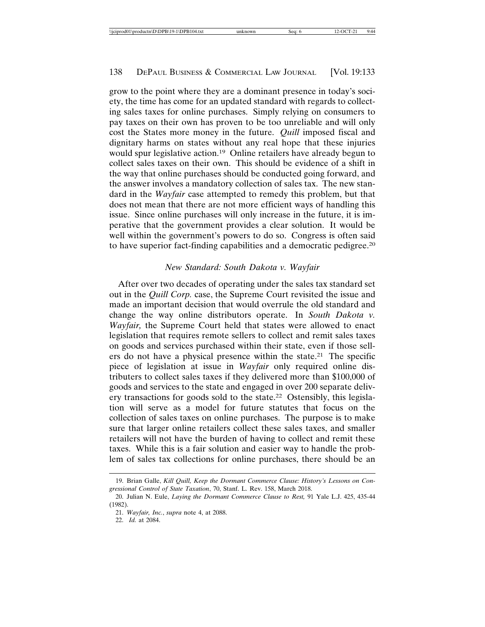grow to the point where they are a dominant presence in today's society, the time has come for an updated standard with regards to collecting sales taxes for online purchases. Simply relying on consumers to pay taxes on their own has proven to be too unreliable and will only cost the States more money in the future. *Quill* imposed fiscal and dignitary harms on states without any real hope that these injuries would spur legislative action.<sup>19</sup> Online retailers have already begun to collect sales taxes on their own. This should be evidence of a shift in the way that online purchases should be conducted going forward, and the answer involves a mandatory collection of sales tax. The new standard in the *Wayfair* case attempted to remedy this problem, but that does not mean that there are not more efficient ways of handling this issue. Since online purchases will only increase in the future, it is imperative that the government provides a clear solution. It would be well within the government's powers to do so. Congress is often said to have superior fact-finding capabilities and a democratic pedigree.20

#### *New Standard: South Dakota v. Wayfair*

After over two decades of operating under the sales tax standard set out in the *Quill Corp.* case, the Supreme Court revisited the issue and made an important decision that would overrule the old standard and change the way online distributors operate. In *South Dakota v. Wayfair,* the Supreme Court held that states were allowed to enact legislation that requires remote sellers to collect and remit sales taxes on goods and services purchased within their state, even if those sellers do not have a physical presence within the state.21 The specific piece of legislation at issue in *Wayfair* only required online distributers to collect sales taxes if they delivered more than \$100,000 of goods and services to the state and engaged in over 200 separate delivery transactions for goods sold to the state.22 Ostensibly, this legislation will serve as a model for future statutes that focus on the collection of sales taxes on online purchases. The purpose is to make sure that larger online retailers collect these sales taxes, and smaller retailers will not have the burden of having to collect and remit these taxes. While this is a fair solution and easier way to handle the problem of sales tax collections for online purchases, there should be an

<sup>19.</sup> Brian Galle, *Kill Quill, Keep the Dormant Commerce Clause: History's Lessons on Congressional Control of State Taxation*, 70, Stanf. L. Rev. 158, March 2018.

<sup>20.</sup> Julian N. Eule, *Laying the Dormant Commerce Clause to Rest,* 91 Yale L.J. 425, 435-44 (1982).

<sup>21.</sup> *Wayfair, Inc.*, *supra* note 4, at 2088.

<sup>22.</sup> *Id.* at 2084.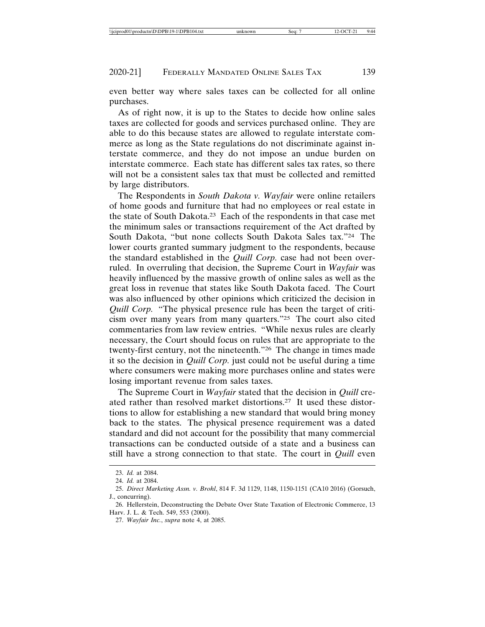even better way where sales taxes can be collected for all online purchases.

As of right now, it is up to the States to decide how online sales taxes are collected for goods and services purchased online. They are able to do this because states are allowed to regulate interstate commerce as long as the State regulations do not discriminate against interstate commerce, and they do not impose an undue burden on interstate commerce. Each state has different sales tax rates, so there will not be a consistent sales tax that must be collected and remitted by large distributors.

The Respondents in *South Dakota v. Wayfair* were online retailers of home goods and furniture that had no employees or real estate in the state of South Dakota.23 Each of the respondents in that case met the minimum sales or transactions requirement of the Act drafted by South Dakota, "but none collects South Dakota Sales tax."24 The lower courts granted summary judgment to the respondents, because the standard established in the *Quill Corp.* case had not been overruled. In overruling that decision, the Supreme Court in *Wayfair* was heavily influenced by the massive growth of online sales as well as the great loss in revenue that states like South Dakota faced. The Court was also influenced by other opinions which criticized the decision in *Quill Corp.* "The physical presence rule has been the target of criticism over many years from many quarters."25 The court also cited commentaries from law review entries. "While nexus rules are clearly necessary, the Court should focus on rules that are appropriate to the twenty-first century, not the nineteenth."26 The change in times made it so the decision in *Quill Corp.* just could not be useful during a time where consumers were making more purchases online and states were losing important revenue from sales taxes.

The Supreme Court in *Wayfair* stated that the decision in *Quill* created rather than resolved market distortions.27 It used these distortions to allow for establishing a new standard that would bring money back to the states. The physical presence requirement was a dated standard and did not account for the possibility that many commercial transactions can be conducted outside of a state and a business can still have a strong connection to that state. The court in *Quill* even

<sup>23.</sup> *Id.* at 2084.

<sup>24.</sup> *Id.* at 2084.

<sup>25.</sup> *Direct Marketing Assn. v. Brohl*, 814 F. 3d 1129, 1148, 1150-1151 (CA10 2016) (Gorsuch, J., concurring).

<sup>26.</sup> Hellerstein, Deconstructing the Debate Over State Taxation of Electronic Commerce, 13 Harv. J. L. & Tech. 549, 553 (2000).

<sup>27.</sup> *Wayfair Inc.*, *supra* note 4, at 2085.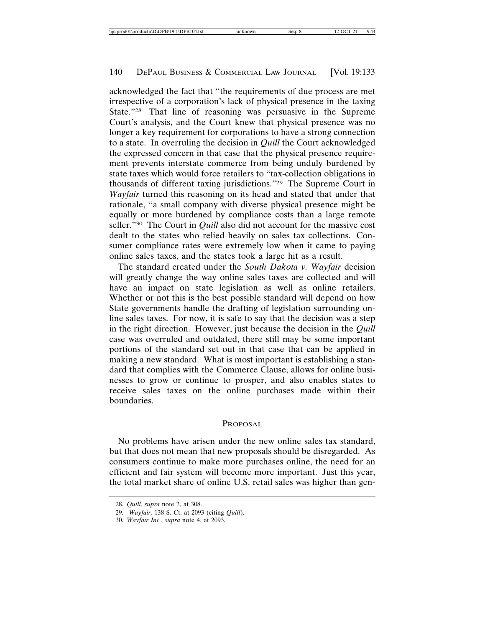acknowledged the fact that "the requirements of due process are met irrespective of a corporation's lack of physical presence in the taxing State."28 That line of reasoning was persuasive in the Supreme Court's analysis, and the Court knew that physical presence was no longer a key requirement for corporations to have a strong connection to a state. In overruling the decision in *Quill* the Court acknowledged the expressed concern in that case that the physical presence requirement prevents interstate commerce from being unduly burdened by state taxes which would force retailers to "tax-collection obligations in thousands of different taxing jurisdictions."29 The Supreme Court in *Wayfair* turned this reasoning on its head and stated that under that rationale, "a small company with diverse physical presence might be equally or more burdened by compliance costs than a large remote seller."30 The Court in *Quill* also did not account for the massive cost dealt to the states who relied heavily on sales tax collections. Consumer compliance rates were extremely low when it came to paying online sales taxes, and the states took a large hit as a result.

The standard created under the *South Dakota v. Wayfair* decision will greatly change the way online sales taxes are collected and will have an impact on state legislation as well as online retailers. Whether or not this is the best possible standard will depend on how State governments handle the drafting of legislation surrounding online sales taxes. For now, it is safe to say that the decision was a step in the right direction. However, just because the decision in the *Quill* case was overruled and outdated, there still may be some important portions of the standard set out in that case that can be applied in making a new standard. What is most important is establishing a standard that complies with the Commerce Clause, allows for online businesses to grow or continue to prosper, and also enables states to receive sales taxes on the online purchases made within their boundaries.

#### PROPOSAL

No problems have arisen under the new online sales tax standard, but that does not mean that new proposals should be disregarded. As consumers continue to make more purchases online, the need for an efficient and fair system will become more important. Just this year, the total market share of online U.S. retail sales was higher than gen-

<sup>28.</sup> *Quill*, *supra* note 2, at 308.

<sup>29.</sup> *Wayfair,* 138 S. Ct. at 2093 (citing *Quill*).

<sup>30.</sup> *Wayfair Inc.*, *supra* note 4, at 2093.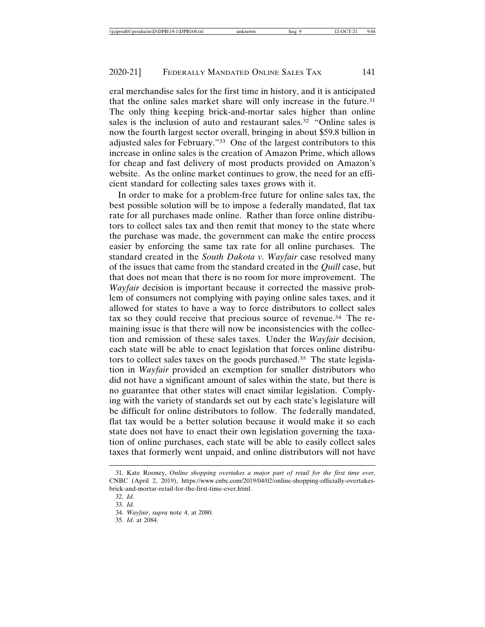eral merchandise sales for the first time in history, and it is anticipated that the online sales market share will only increase in the future.31 The only thing keeping brick-and-mortar sales higher than online sales is the inclusion of auto and restaurant sales.<sup>32</sup> "Online sales is now the fourth largest sector overall, bringing in about \$59.8 billion in adjusted sales for February."33 One of the largest contributors to this increase in online sales is the creation of Amazon Prime, which allows for cheap and fast delivery of most products provided on Amazon's website. As the online market continues to grow, the need for an efficient standard for collecting sales taxes grows with it.

In order to make for a problem-free future for online sales tax, the best possible solution will be to impose a federally mandated, flat tax rate for all purchases made online. Rather than force online distributors to collect sales tax and then remit that money to the state where the purchase was made, the government can make the entire process easier by enforcing the same tax rate for all online purchases. The standard created in the *South Dakota v. Wayfair* case resolved many of the issues that came from the standard created in the *Quill* case, but that does not mean that there is no room for more improvement. The *Wayfair* decision is important because it corrected the massive problem of consumers not complying with paying online sales taxes, and it allowed for states to have a way to force distributors to collect sales tax so they could receive that precious source of revenue.34 The remaining issue is that there will now be inconsistencies with the collection and remission of these sales taxes. Under the *Wayfair* decision, each state will be able to enact legislation that forces online distributors to collect sales taxes on the goods purchased.35 The state legislation in *Wayfair* provided an exemption for smaller distributors who did not have a significant amount of sales within the state, but there is no guarantee that other states will enact similar legislation. Complying with the variety of standards set out by each state's legislature will be difficult for online distributors to follow. The federally mandated, flat tax would be a better solution because it would make it so each state does not have to enact their own legislation governing the taxation of online purchases, each state will be able to easily collect sales taxes that formerly went unpaid, and online distributors will not have

<sup>31.</sup> Kate Rooney, *Online shopping overtakes a major part of retail for the first time ever,* CNBC (April 2, 2019), https://www.cnbc.com/2019/04/02/online-shopping-officially-overtakesbrick-and-mortar-retail-for-the-first-time-ever.html.

<sup>32.</sup> *Id.*

<sup>33.</sup> *Id.*

<sup>34.</sup> *Wayfair*, *supra* note 4, at 2080.

<sup>35.</sup> *Id.* at 2084.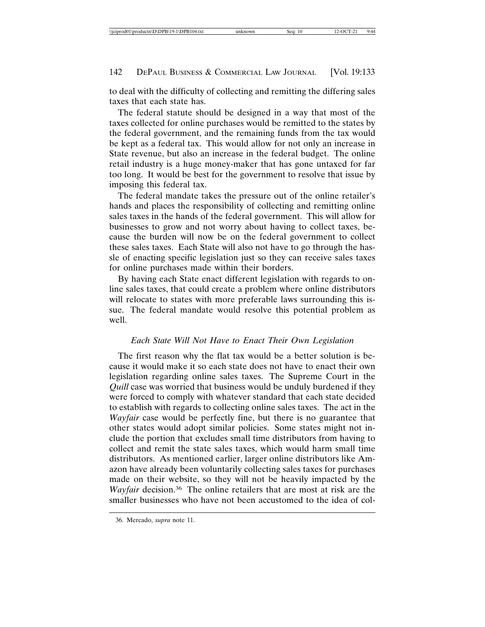to deal with the difficulty of collecting and remitting the differing sales taxes that each state has.

The federal statute should be designed in a way that most of the taxes collected for online purchases would be remitted to the states by the federal government, and the remaining funds from the tax would be kept as a federal tax. This would allow for not only an increase in State revenue, but also an increase in the federal budget. The online retail industry is a huge money-maker that has gone untaxed for far too long. It would be best for the government to resolve that issue by imposing this federal tax.

The federal mandate takes the pressure out of the online retailer's hands and places the responsibility of collecting and remitting online sales taxes in the hands of the federal government. This will allow for businesses to grow and not worry about having to collect taxes, because the burden will now be on the federal government to collect these sales taxes. Each State will also not have to go through the hassle of enacting specific legislation just so they can receive sales taxes for online purchases made within their borders.

By having each State enact different legislation with regards to online sales taxes, that could create a problem where online distributors will relocate to states with more preferable laws surrounding this issue. The federal mandate would resolve this potential problem as well.

#### *Each State Will Not Have to Enact Their Own Legislation*

The first reason why the flat tax would be a better solution is because it would make it so each state does not have to enact their own legislation regarding online sales taxes. The Supreme Court in the *Quill* case was worried that business would be unduly burdened if they were forced to comply with whatever standard that each state decided to establish with regards to collecting online sales taxes. The act in the *Wayfair* case would be perfectly fine, but there is no guarantee that other states would adopt similar policies. Some states might not include the portion that excludes small time distributors from having to collect and remit the state sales taxes, which would harm small time distributors. As mentioned earlier, larger online distributors like Amazon have already been voluntarily collecting sales taxes for purchases made on their website, so they will not be heavily impacted by the *Wayfair* decision.36 The online retailers that are most at risk are the smaller businesses who have not been accustomed to the idea of col-

<sup>36.</sup> Mercado, *supra* note 11.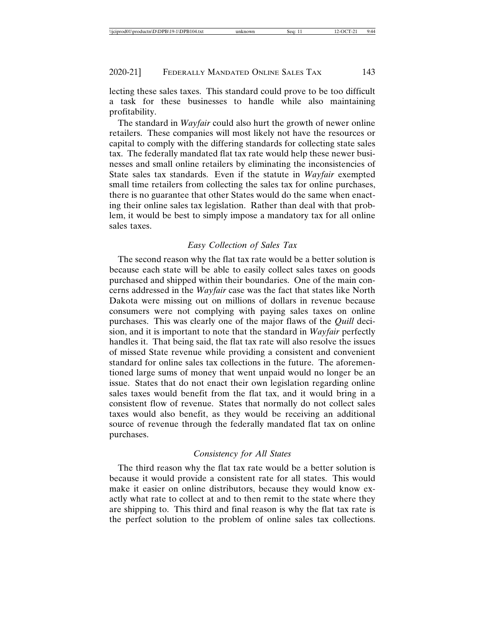lecting these sales taxes. This standard could prove to be too difficult a task for these businesses to handle while also maintaining profitability.

The standard in *Wayfair* could also hurt the growth of newer online retailers. These companies will most likely not have the resources or capital to comply with the differing standards for collecting state sales tax. The federally mandated flat tax rate would help these newer businesses and small online retailers by eliminating the inconsistencies of State sales tax standards. Even if the statute in *Wayfair* exempted small time retailers from collecting the sales tax for online purchases, there is no guarantee that other States would do the same when enacting their online sales tax legislation. Rather than deal with that problem, it would be best to simply impose a mandatory tax for all online sales taxes.

## *Easy Collection of Sales Tax*

The second reason why the flat tax rate would be a better solution is because each state will be able to easily collect sales taxes on goods purchased and shipped within their boundaries. One of the main concerns addressed in the *Wayfair* case was the fact that states like North Dakota were missing out on millions of dollars in revenue because consumers were not complying with paying sales taxes on online purchases. This was clearly one of the major flaws of the *Quill* decision, and it is important to note that the standard in *Wayfair* perfectly handles it. That being said, the flat tax rate will also resolve the issues of missed State revenue while providing a consistent and convenient standard for online sales tax collections in the future. The aforementioned large sums of money that went unpaid would no longer be an issue. States that do not enact their own legislation regarding online sales taxes would benefit from the flat tax, and it would bring in a consistent flow of revenue. States that normally do not collect sales taxes would also benefit, as they would be receiving an additional source of revenue through the federally mandated flat tax on online purchases.

#### *Consistency for All States*

The third reason why the flat tax rate would be a better solution is because it would provide a consistent rate for all states. This would make it easier on online distributors, because they would know exactly what rate to collect at and to then remit to the state where they are shipping to. This third and final reason is why the flat tax rate is the perfect solution to the problem of online sales tax collections.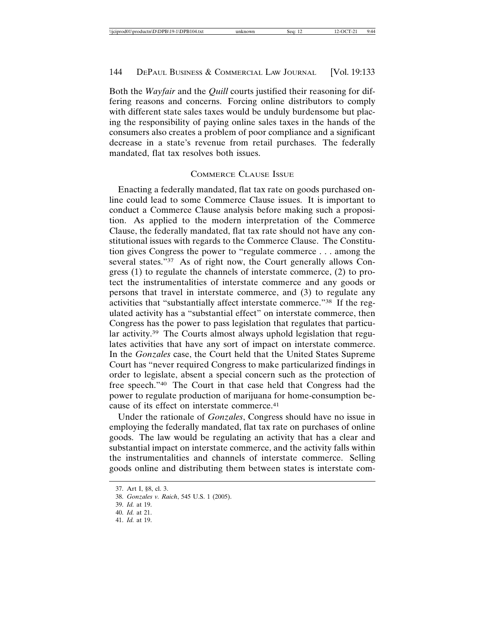Both the *Wayfair* and the *Quill* courts justified their reasoning for differing reasons and concerns. Forcing online distributors to comply with different state sales taxes would be unduly burdensome but placing the responsibility of paying online sales taxes in the hands of the consumers also creates a problem of poor compliance and a significant decrease in a state's revenue from retail purchases. The federally mandated, flat tax resolves both issues.

# COMMERCE CLAUSE ISSUE

Enacting a federally mandated, flat tax rate on goods purchased online could lead to some Commerce Clause issues. It is important to conduct a Commerce Clause analysis before making such a proposition. As applied to the modern interpretation of the Commerce Clause, the federally mandated, flat tax rate should not have any constitutional issues with regards to the Commerce Clause. The Constitution gives Congress the power to "regulate commerce . . . among the several states."<sup>37</sup> As of right now, the Court generally allows Congress (1) to regulate the channels of interstate commerce, (2) to protect the instrumentalities of interstate commerce and any goods or persons that travel in interstate commerce, and (3) to regulate any activities that "substantially affect interstate commerce."38 If the regulated activity has a "substantial effect" on interstate commerce, then Congress has the power to pass legislation that regulates that particular activity.39 The Courts almost always uphold legislation that regulates activities that have any sort of impact on interstate commerce. In the *Gonzales* case, the Court held that the United States Supreme Court has "never required Congress to make particularized findings in order to legislate, absent a special concern such as the protection of free speech."40 The Court in that case held that Congress had the power to regulate production of marijuana for home-consumption because of its effect on interstate commerce.41

Under the rationale of *Gonzales*, Congress should have no issue in employing the federally mandated, flat tax rate on purchases of online goods. The law would be regulating an activity that has a clear and substantial impact on interstate commerce, and the activity falls within the instrumentalities and channels of interstate commerce. Selling goods online and distributing them between states is interstate com-

<sup>37.</sup> Art I, §8, cl. 3.

<sup>38.</sup> *Gonzales v. Raich*, 545 U.S. 1 (2005).

<sup>39.</sup> *Id.* at 19.

<sup>40.</sup> *Id.* at 21.

<sup>41.</sup> *Id.* at 19.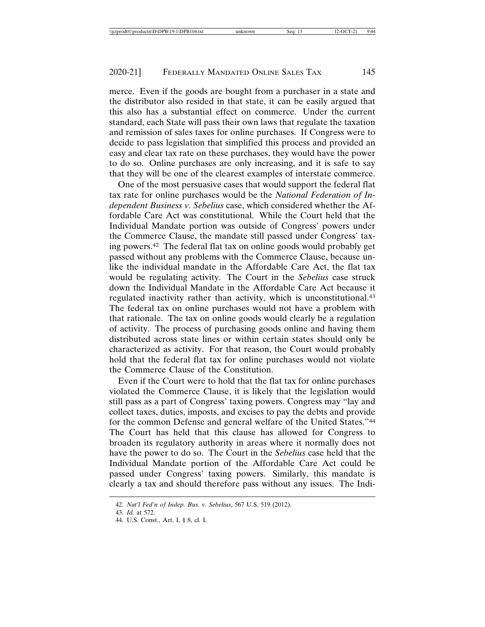merce. Even if the goods are bought from a purchaser in a state and the distributor also resided in that state, it can be easily argued that this also has a substantial effect on commerce. Under the current standard, each State will pass their own laws that regulate the taxation and remission of sales taxes for online purchases. If Congress were to decide to pass legislation that simplified this process and provided an easy and clear tax rate on these purchases, they would have the power to do so. Online purchases are only increasing, and it is safe to say that they will be one of the clearest examples of interstate commerce.

One of the most persuasive cases that would support the federal flat tax rate for online purchases would be the *National Federation of Independent Business v. Sebelius* case, which considered whether the Affordable Care Act was constitutional. While the Court held that the Individual Mandate portion was outside of Congress' powers under the Commerce Clause, the mandate still passed under Congress' taxing powers.42 The federal flat tax on online goods would probably get passed without any problems with the Commerce Clause, because unlike the individual mandate in the Affordable Care Act, the flat tax would be regulating activity. The Court in the *Sebelius* case struck down the Individual Mandate in the Affordable Care Act because it regulated inactivity rather than activity, which is unconstitutional.<sup>43</sup> The federal tax on online purchases would not have a problem with that rationale. The tax on online goods would clearly be a regulation of activity. The process of purchasing goods online and having them distributed across state lines or within certain states should only be characterized as activity. For that reason, the Court would probably hold that the federal flat tax for online purchases would not violate the Commerce Clause of the Constitution.

Even if the Court were to hold that the flat tax for online purchases violated the Commerce Clause, it is likely that the legislation would still pass as a part of Congress' taxing powers. Congress may "lay and collect taxes, duties, imposts, and excises to pay the debts and provide for the common Defense and general welfare of the United States."44 The Court has held that this clause has allowed for Congress to broaden its regulatory authority in areas where it normally does not have the power to do so. The Court in the *Sebelius* case held that the Individual Mandate portion of the Affordable Care Act could be passed under Congress' taxing powers. Similarly, this mandate is clearly a tax and should therefore pass without any issues. The Indi-

<sup>42.</sup> *Nat'l Fed'n of Indep. Bus. v. Sebelius*, 567 U.S. 519 (2012).

<sup>43.</sup> *Id.* at 572.

<sup>44.</sup> U.S. Const., Art. I, § 8, cl. I.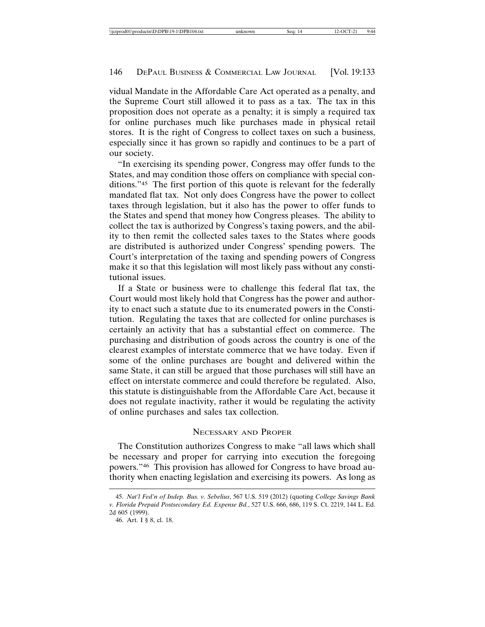vidual Mandate in the Affordable Care Act operated as a penalty, and the Supreme Court still allowed it to pass as a tax. The tax in this proposition does not operate as a penalty; it is simply a required tax for online purchases much like purchases made in physical retail stores. It is the right of Congress to collect taxes on such a business, especially since it has grown so rapidly and continues to be a part of our society.

"In exercising its spending power, Congress may offer funds to the States, and may condition those offers on compliance with special conditions."45 The first portion of this quote is relevant for the federally mandated flat tax. Not only does Congress have the power to collect taxes through legislation, but it also has the power to offer funds to the States and spend that money how Congress pleases. The ability to collect the tax is authorized by Congress's taxing powers, and the ability to then remit the collected sales taxes to the States where goods are distributed is authorized under Congress' spending powers. The Court's interpretation of the taxing and spending powers of Congress make it so that this legislation will most likely pass without any constitutional issues.

If a State or business were to challenge this federal flat tax, the Court would most likely hold that Congress has the power and authority to enact such a statute due to its enumerated powers in the Constitution. Regulating the taxes that are collected for online purchases is certainly an activity that has a substantial effect on commerce. The purchasing and distribution of goods across the country is one of the clearest examples of interstate commerce that we have today. Even if some of the online purchases are bought and delivered within the same State, it can still be argued that those purchases will still have an effect on interstate commerce and could therefore be regulated. Also, this statute is distinguishable from the Affordable Care Act, because it does not regulate inactivity, rather it would be regulating the activity of online purchases and sales tax collection.

# NECESSARY AND PROPER

The Constitution authorizes Congress to make "all laws which shall be necessary and proper for carrying into execution the foregoing powers."46 This provision has allowed for Congress to have broad authority when enacting legislation and exercising its powers. As long as

<sup>45.</sup> *Nat'l Fed'n of Indep. Bus. v. Sebelius*, 567 U.S. 519 (2012) (quoting *College Savings Bank v. Florida Prepaid Postsecondary Ed. Expense Bd.*, 527 U.S. 666, 686, 119 S. Ct. 2219, 144 L. Ed. 2d 605 (1999).

<sup>46.</sup> Art. I § 8, cl. 18.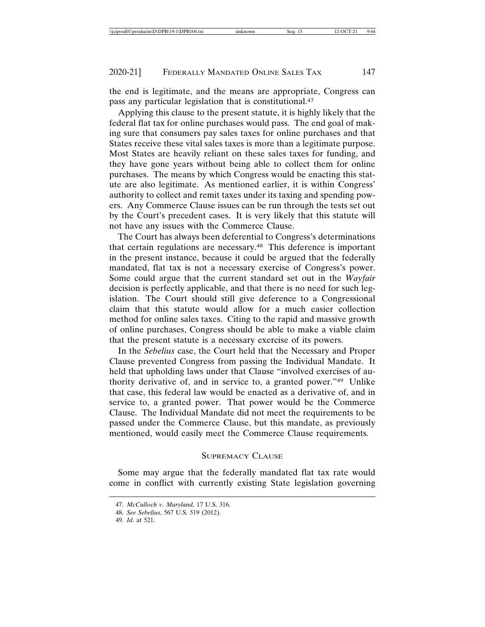the end is legitimate, and the means are appropriate, Congress can pass any particular legislation that is constitutional.47

Applying this clause to the present statute, it is highly likely that the federal flat tax for online purchases would pass. The end goal of making sure that consumers pay sales taxes for online purchases and that States receive these vital sales taxes is more than a legitimate purpose. Most States are heavily reliant on these sales taxes for funding, and they have gone years without being able to collect them for online purchases. The means by which Congress would be enacting this statute are also legitimate. As mentioned earlier, it is within Congress' authority to collect and remit taxes under its taxing and spending powers. Any Commerce Clause issues can be run through the tests set out by the Court's precedent cases. It is very likely that this statute will not have any issues with the Commerce Clause.

The Court has always been deferential to Congress's determinations that certain regulations are necessary.48 This deference is important in the present instance, because it could be argued that the federally mandated, flat tax is not a necessary exercise of Congress's power. Some could argue that the current standard set out in the *Wayfair* decision is perfectly applicable, and that there is no need for such legislation. The Court should still give deference to a Congressional claim that this statute would allow for a much easier collection method for online sales taxes. Citing to the rapid and massive growth of online purchases, Congress should be able to make a viable claim that the present statute is a necessary exercise of its powers.

In the *Sebelius* case, the Court held that the Necessary and Proper Clause prevented Congress from passing the Individual Mandate. It held that upholding laws under that Clause "involved exercises of authority derivative of, and in service to, a granted power."49 Unlike that case, this federal law would be enacted as a derivative of, and in service to, a granted power. That power would be the Commerce Clause. The Individual Mandate did not meet the requirements to be passed under the Commerce Clause, but this mandate, as previously mentioned, would easily meet the Commerce Clause requirements.

#### SUPREMACY CLAUSE

Some may argue that the federally mandated flat tax rate would come in conflict with currently existing State legislation governing

<sup>47.</sup> *McCulloch v. Maryland,* 17 U.S. 316.

<sup>48.</sup> *See Sebelius*, 567 U.S. 519 (2012).

<sup>49.</sup> *Id.* at 521.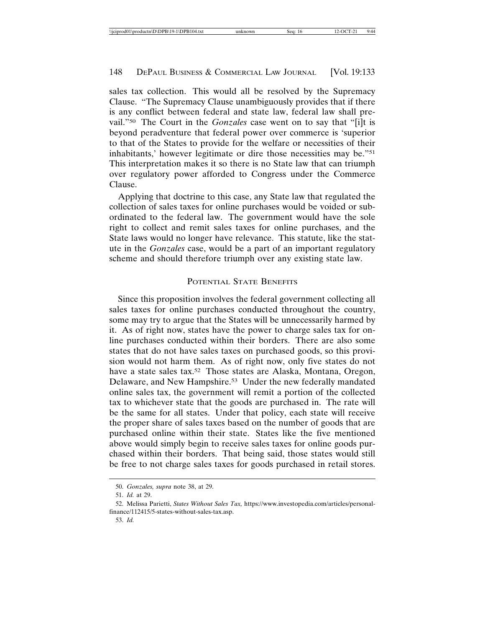sales tax collection. This would all be resolved by the Supremacy Clause. "The Supremacy Clause unambiguously provides that if there is any conflict between federal and state law, federal law shall prevail."50 The Court in the *Gonzales* case went on to say that "[i]t is beyond peradventure that federal power over commerce is 'superior to that of the States to provide for the welfare or necessities of their inhabitants,' however legitimate or dire those necessities may be."51 This interpretation makes it so there is no State law that can triumph over regulatory power afforded to Congress under the Commerce Clause.

Applying that doctrine to this case, any State law that regulated the collection of sales taxes for online purchases would be voided or subordinated to the federal law. The government would have the sole right to collect and remit sales taxes for online purchases, and the State laws would no longer have relevance. This statute, like the statute in the *Gonzales* case, would be a part of an important regulatory scheme and should therefore triumph over any existing state law.

#### POTENTIAL STATE BENEFITS

Since this proposition involves the federal government collecting all sales taxes for online purchases conducted throughout the country, some may try to argue that the States will be unnecessarily harmed by it. As of right now, states have the power to charge sales tax for online purchases conducted within their borders. There are also some states that do not have sales taxes on purchased goods, so this provision would not harm them. As of right now, only five states do not have a state sales tax.<sup>52</sup> Those states are Alaska, Montana, Oregon, Delaware, and New Hampshire.<sup>53</sup> Under the new federally mandated online sales tax, the government will remit a portion of the collected tax to whichever state that the goods are purchased in. The rate will be the same for all states. Under that policy, each state will receive the proper share of sales taxes based on the number of goods that are purchased online within their state. States like the five mentioned above would simply begin to receive sales taxes for online goods purchased within their borders. That being said, those states would still be free to not charge sales taxes for goods purchased in retail stores.

<sup>50.</sup> *Gonzales, supra* note 38, at 29.

<sup>51.</sup> *Id.* at 29.

<sup>52.</sup> Melissa Parietti, *States Without Sales Tax,* https://www.investopedia.com/articles/personalfinance/112415/5-states-without-sales-tax.asp.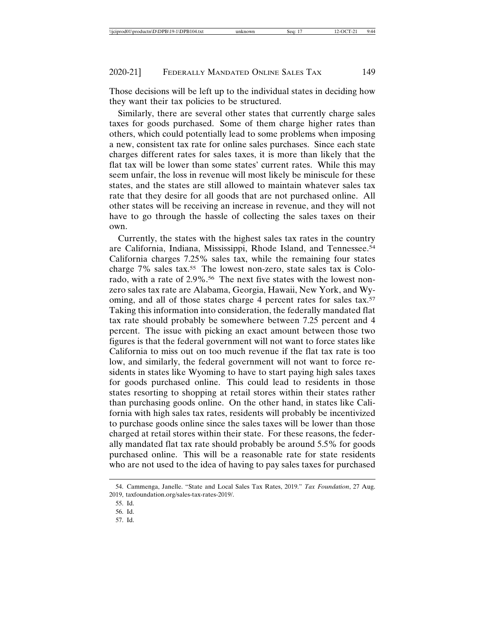Those decisions will be left up to the individual states in deciding how they want their tax policies to be structured.

Similarly, there are several other states that currently charge sales taxes for goods purchased. Some of them charge higher rates than others, which could potentially lead to some problems when imposing a new, consistent tax rate for online sales purchases. Since each state charges different rates for sales taxes, it is more than likely that the flat tax will be lower than some states' current rates. While this may seem unfair, the loss in revenue will most likely be miniscule for these states, and the states are still allowed to maintain whatever sales tax rate that they desire for all goods that are not purchased online. All other states will be receiving an increase in revenue, and they will not have to go through the hassle of collecting the sales taxes on their own.

Currently, the states with the highest sales tax rates in the country are California, Indiana, Mississippi, Rhode Island, and Tennessee.54 California charges 7.25% sales tax, while the remaining four states charge 7% sales tax.55 The lowest non-zero, state sales tax is Colorado, with a rate of 2.9%.<sup>56</sup> The next five states with the lowest nonzero sales tax rate are Alabama, Georgia, Hawaii, New York, and Wyoming, and all of those states charge 4 percent rates for sales tax.<sup>57</sup> Taking this information into consideration, the federally mandated flat tax rate should probably be somewhere between 7.25 percent and 4 percent. The issue with picking an exact amount between those two figures is that the federal government will not want to force states like California to miss out on too much revenue if the flat tax rate is too low, and similarly, the federal government will not want to force residents in states like Wyoming to have to start paying high sales taxes for goods purchased online. This could lead to residents in those states resorting to shopping at retail stores within their states rather than purchasing goods online. On the other hand, in states like California with high sales tax rates, residents will probably be incentivized to purchase goods online since the sales taxes will be lower than those charged at retail stores within their state. For these reasons, the federally mandated flat tax rate should probably be around 5.5% for goods purchased online. This will be a reasonable rate for state residents who are not used to the idea of having to pay sales taxes for purchased

<sup>54.</sup> Cammenga, Janelle. "State and Local Sales Tax Rates, 2019." *Tax Foundation*, 27 Aug. 2019, taxfoundation.org/sales-tax-rates-2019/.

<sup>55.</sup> Id.

<sup>56.</sup> Id.

<sup>57.</sup> Id.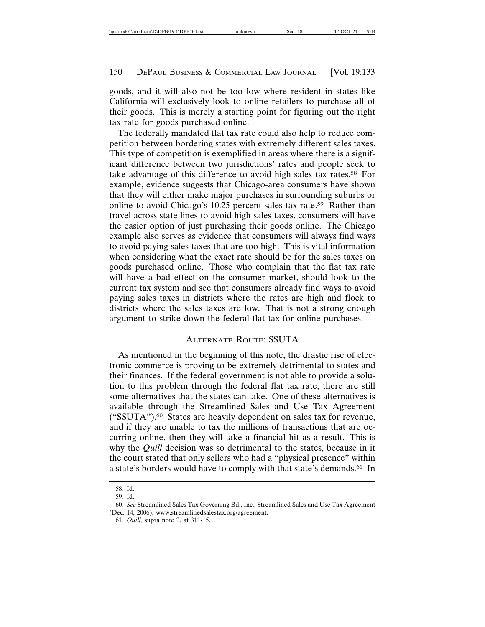goods, and it will also not be too low where resident in states like California will exclusively look to online retailers to purchase all of their goods. This is merely a starting point for figuring out the right tax rate for goods purchased online.

The federally mandated flat tax rate could also help to reduce competition between bordering states with extremely different sales taxes. This type of competition is exemplified in areas where there is a significant difference between two jurisdictions' rates and people seek to take advantage of this difference to avoid high sales tax rates.58 For example, evidence suggests that Chicago-area consumers have shown that they will either make major purchases in surrounding suburbs or online to avoid Chicago's 10.25 percent sales tax rate.<sup>59</sup> Rather than travel across state lines to avoid high sales taxes, consumers will have the easier option of just purchasing their goods online. The Chicago example also serves as evidence that consumers will always find ways to avoid paying sales taxes that are too high. This is vital information when considering what the exact rate should be for the sales taxes on goods purchased online. Those who complain that the flat tax rate will have a bad effect on the consumer market, should look to the current tax system and see that consumers already find ways to avoid paying sales taxes in districts where the rates are high and flock to districts where the sales taxes are low. That is not a strong enough argument to strike down the federal flat tax for online purchases.

# ALTERNATE ROUTE: SSUTA

As mentioned in the beginning of this note, the drastic rise of electronic commerce is proving to be extremely detrimental to states and their finances. If the federal government is not able to provide a solution to this problem through the federal flat tax rate, there are still some alternatives that the states can take. One of these alternatives is available through the Streamlined Sales and Use Tax Agreement ("SSUTA").60 States are heavily dependent on sales tax for revenue, and if they are unable to tax the millions of transactions that are occurring online, then they will take a financial hit as a result. This is why the *Quill* decision was so detrimental to the states, because in it the court stated that only sellers who had a "physical presence" within a state's borders would have to comply with that state's demands.61 In

<sup>58.</sup> Id.

<sup>59.</sup> Id.

<sup>60.</sup> *See* Streamlined Sales Tax Governing Bd., Inc., Streamlined Sales and Use Tax Agreement (Dec. 14, 2006), www.streamlinedsalestax.org/agreement.

<sup>61.</sup> *Quill,* supra note 2, at 311-15.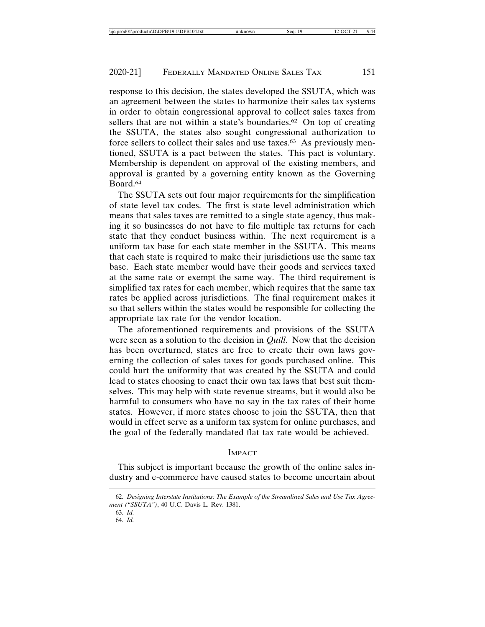response to this decision, the states developed the SSUTA, which was an agreement between the states to harmonize their sales tax systems in order to obtain congressional approval to collect sales taxes from sellers that are not within a state's boundaries.<sup>62</sup> On top of creating the SSUTA, the states also sought congressional authorization to force sellers to collect their sales and use taxes.63 As previously mentioned, SSUTA is a pact between the states. This pact is voluntary. Membership is dependent on approval of the existing members, and approval is granted by a governing entity known as the Governing Board.64

The SSUTA sets out four major requirements for the simplification of state level tax codes. The first is state level administration which means that sales taxes are remitted to a single state agency, thus making it so businesses do not have to file multiple tax returns for each state that they conduct business within. The next requirement is a uniform tax base for each state member in the SSUTA. This means that each state is required to make their jurisdictions use the same tax base. Each state member would have their goods and services taxed at the same rate or exempt the same way. The third requirement is simplified tax rates for each member, which requires that the same tax rates be applied across jurisdictions. The final requirement makes it so that sellers within the states would be responsible for collecting the appropriate tax rate for the vendor location.

The aforementioned requirements and provisions of the SSUTA were seen as a solution to the decision in *Quill*. Now that the decision has been overturned, states are free to create their own laws governing the collection of sales taxes for goods purchased online. This could hurt the uniformity that was created by the SSUTA and could lead to states choosing to enact their own tax laws that best suit themselves. This may help with state revenue streams, but it would also be harmful to consumers who have no say in the tax rates of their home states. However, if more states choose to join the SSUTA, then that would in effect serve as a uniform tax system for online purchases, and the goal of the federally mandated flat tax rate would be achieved.

#### IMPACT

This subject is important because the growth of the online sales industry and e-commerce have caused states to become uncertain about

<sup>62.</sup> *Designing Interstate Institutions: The Example of the Streamlined Sales and Use Tax Agreement ("SSUTA")*, 40 U.C. Davis L. Rev. 1381.

<sup>63.</sup> *Id.*

<sup>64.</sup> *Id.*